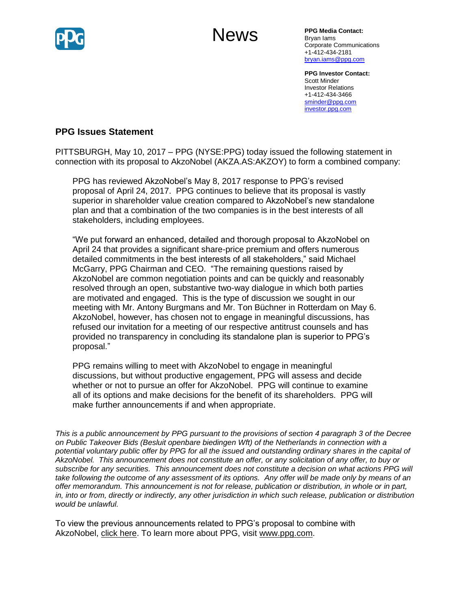

# News

**PPG Media Contact:** Bryan Iams Corporate Communications +1-412-434-2181 [bryan.iams@ppg.com](mailto:bryan.iams@ppg.com)

**PPG Investor Contact:** Scott Minder Investor Relations +1-412-434-3466 [sminder@ppg.com](mailto:sminder@ppg.com) [investor.ppg.com](http://investor.ppg.com/)

# **PPG Issues Statement**

PITTSBURGH, May 10, 2017 – PPG (NYSE:PPG) today issued the following statement in connection with its proposal to AkzoNobel (AKZA.AS:AKZOY) to form a combined company:

PPG has reviewed AkzoNobel's May 8, 2017 response to PPG's revised proposal of April 24, 2017. PPG continues to believe that its proposal is vastly superior in shareholder value creation compared to AkzoNobel's new standalone plan and that a combination of the two companies is in the best interests of all stakeholders, including employees.

"We put forward an enhanced, detailed and thorough proposal to AkzoNobel on April 24 that provides a significant share-price premium and offers numerous detailed commitments in the best interests of all stakeholders," said Michael McGarry, PPG Chairman and CEO. "The remaining questions raised by AkzoNobel are common negotiation points and can be quickly and reasonably resolved through an open, substantive two-way dialogue in which both parties are motivated and engaged. This is the type of discussion we sought in our meeting with Mr. Antony Burgmans and Mr. Ton Büchner in Rotterdam on May 6. AkzoNobel, however, has chosen not to engage in meaningful discussions, has refused our invitation for a meeting of our respective antitrust counsels and has provided no transparency in concluding its standalone plan is superior to PPG's proposal."

PPG remains willing to meet with AkzoNobel to engage in meaningful discussions, but without productive engagement, PPG will assess and decide whether or not to pursue an offer for AkzoNobel. PPG will continue to examine all of its options and make decisions for the benefit of its shareholders. PPG will make further announcements if and when appropriate.

*This is a public announcement by PPG pursuant to the provisions of section 4 paragraph 3 of the Decree on Public Takeover Bids (Besluit openbare biedingen Wft) of the Netherlands in connection with a potential voluntary public offer by PPG for all the issued and outstanding ordinary shares in the capital of AkzoNobel. This announcement does not constitute an offer, or any solicitation of any offer, to buy or subscribe for any securities. This announcement does not constitute a decision on what actions PPG will take following the outcome of any assessment of its options. Any offer will be made only by means of an offer memorandum. This announcement is not for release, publication or distribution, in whole or in part, in, into or from, directly or indirectly, any other jurisdiction in which such release, publication or distribution would be unlawful.*

To view the previous announcements related to PPG's proposal to combine with AkzoNobel, [click here.](http://cts.businesswire.com/ct/CT?id=smartlink&url=http%3A%2F%2Fnewsroom.ppg.com%2Fppgoverview&esheet=51536717&newsitemid=20170405005597&lan=en-US&anchor=click+here&index=1&md5=4fc590b55083a5a76605bd2fab66fa13) To learn more about PPG, visit [www.ppg.com.](http://cts.businesswire.com/ct/CT?id=smartlink&url=http%3A%2F%2Fwww.ppg.com&esheet=51536717&newsitemid=20170405005597&lan=en-US&anchor=www.ppg.com&index=2&md5=637cff78eb50deb2526aab4550e3bd0d)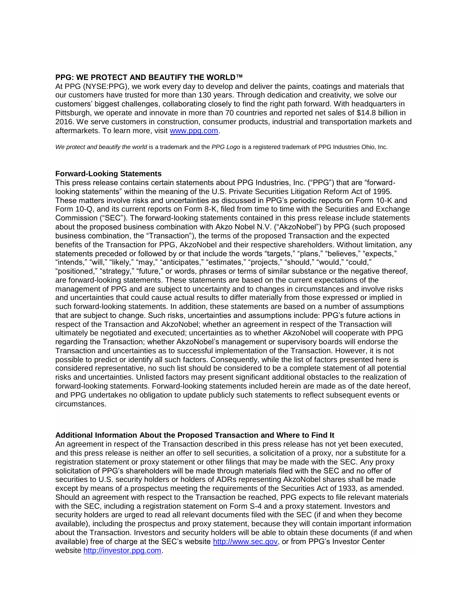#### **PPG: WE PROTECT AND BEAUTIFY THE WORLD™**

At PPG (NYSE:PPG), we work every day to develop and deliver the paints, coatings and materials that our customers have trusted for more than 130 years. Through dedication and creativity, we solve our customers' biggest challenges, collaborating closely to find the right path forward. With headquarters in Pittsburgh, we operate and innovate in more than 70 countries and reported net sales of \$14.8 billion in 2016. We serve customers in construction, consumer products, industrial and transportation markets and aftermarkets. To learn more, visit www.ppg.com.

*We protect and beautify the world* is a trademark and the *PPG Logo* is a registered trademark of PPG Industries Ohio, Inc.

#### **Forward-Looking Statements**

This press release contains certain statements about PPG Industries, Inc. ("PPG") that are "forwardlooking statements" within the meaning of the U.S. Private Securities Litigation Reform Act of 1995. These matters involve risks and uncertainties as discussed in PPG's periodic reports on Form 10-K and Form 10-Q, and its current reports on Form 8-K, filed from time to time with the Securities and Exchange Commission ("SEC"). The forward-looking statements contained in this press release include statements about the proposed business combination with Akzo Nobel N.V. ("AkzoNobel") by PPG (such proposed business combination, the "Transaction"), the terms of the proposed Transaction and the expected benefits of the Transaction for PPG, AkzoNobel and their respective shareholders. Without limitation, any statements preceded or followed by or that include the words "targets," "plans," "believes," "expects," "intends," "will," "likely," "may," "anticipates," "estimates," "projects," "should," "would," "could," "positioned," "strategy," "future," or words, phrases or terms of similar substance or the negative thereof, are forward-looking statements. These statements are based on the current expectations of the management of PPG and are subject to uncertainty and to changes in circumstances and involve risks and uncertainties that could cause actual results to differ materially from those expressed or implied in such forward-looking statements. In addition, these statements are based on a number of assumptions that are subject to change. Such risks, uncertainties and assumptions include: PPG's future actions in respect of the Transaction and AkzoNobel; whether an agreement in respect of the Transaction will ultimately be negotiated and executed; uncertainties as to whether AkzoNobel will cooperate with PPG regarding the Transaction; whether AkzoNobel's management or supervisory boards will endorse the Transaction and uncertainties as to successful implementation of the Transaction. However, it is not possible to predict or identify all such factors. Consequently, while the list of factors presented here is considered representative, no such list should be considered to be a complete statement of all potential risks and uncertainties. Unlisted factors may present significant additional obstacles to the realization of forward-looking statements. Forward-looking statements included herein are made as of the date hereof, and PPG undertakes no obligation to update publicly such statements to reflect subsequent events or circumstances.

### **Additional Information About the Proposed Transaction and Where to Find It**

An agreement in respect of the Transaction described in this press release has not yet been executed, and this press release is neither an offer to sell securities, a solicitation of a proxy, nor a substitute for a registration statement or proxy statement or other filings that may be made with the SEC. Any proxy solicitation of PPG's shareholders will be made through materials filed with the SEC and no offer of securities to U.S. security holders or holders of ADRs representing AkzoNobel shares shall be made except by means of a prospectus meeting the requirements of the Securities Act of 1933, as amended. Should an agreement with respect to the Transaction be reached, PPG expects to file relevant materials with the SEC, including a registration statement on Form S-4 and a proxy statement. Investors and security holders are urged to read all relevant documents filed with the SEC (if and when they become available), including the prospectus and proxy statement, because they will contain important information about the Transaction. Investors and security holders will be able to obtain these documents (if and when available) free of charge at the SEC's website [http://www.sec.gov,](http://cts.businesswire.com/ct/CT?id=smartlink&url=http%3A%2F%2Fwww.sec.gov&esheet=51536717&newsitemid=20170405005597&lan=en-US&anchor=http%3A%2F%2Fwww.sec.gov&index=4&md5=313684b51714ce0ab573e2d3c34eea79) or from PPG's Investor Center website [http://investor.ppg.com.](http://cts.businesswire.com/ct/CT?id=smartlink&url=http%3A%2F%2Finvestor.ppg.com%2F&esheet=51536717&newsitemid=20170405005597&lan=en-US&anchor=http%3A%2F%2Finvestor.ppg.com&index=5&md5=31c2e8650964950e1a51e409547dda94)